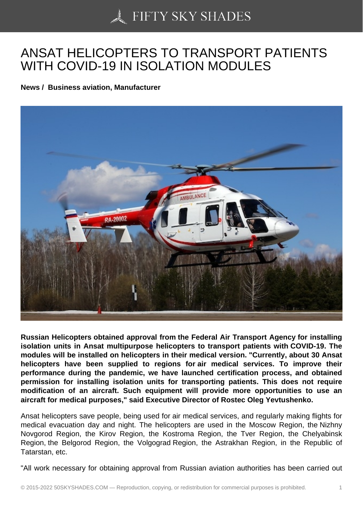## [ANSAT HELICOPTER](https://50skyshades.com)S TO TRANSPORT PATIENTS WITH COVID-19 IN ISOLATION MODULES

News / Business aviation, Manufacturer

Russian Helicopters obtained approval from the Federal Air Transport Agency for installing isolation units in Ansat multipurpose helicopters to transport patients with COVID-19. The modules will be installed on helicopters in their medical version. "Currently, about 30 Ansat helicopters have been supplied to regions for air medical services. To improve their performance during the pandemic, we have launched certification process, and obtained permission for installing isolation units for transporting patients. This does not require modification of an aircraft. Such equipment will provide more opportunities to use an aircraft for medical purposes," said Executive Director of Rostec Oleg Yevtushenko.

Ansat helicopters save people, being used for air medical services, and regularly making flights for medical evacuation day and night. The helicopters are used in the Moscow Region, the Nizhny Novgorod Region, the Kirov Region, the Kostroma Region, the Tver Region, the Chelyabinsk Region, the Belgorod Region, the Volgograd Region, the Astrakhan Region, in the Republic of Tatarstan, etc.

"All work necessary for obtaining approval from Russian aviation authorities has been carried out